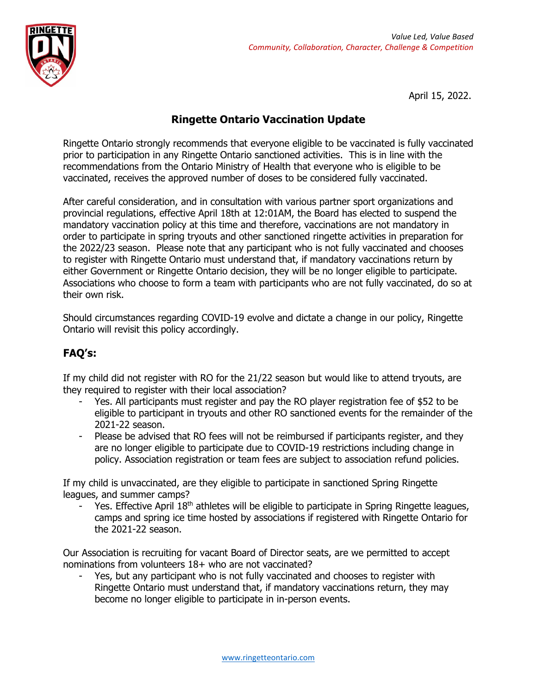

April 15, 2022.

## **Ringette Ontario Vaccination Update**

Ringette Ontario strongly recommends that everyone eligible to be vaccinated is fully vaccinated prior to participation in any Ringette Ontario sanctioned activities. This is in line with the recommendations from the Ontario Ministry of Health that everyone who is eligible to be vaccinated, receives the approved number of doses to be considered fully vaccinated.

After careful consideration, and in consultation with various partner sport organizations and provincial regulations, effective April 18th at 12:01AM, the Board has elected to suspend the mandatory vaccination policy at this time and therefore, vaccinations are not mandatory in order to participate in spring tryouts and other sanctioned ringette activities in preparation for the 2022/23 season. Please note that any participant who is not fully vaccinated and chooses to register with Ringette Ontario must understand that, if mandatory vaccinations return by either Government or Ringette Ontario decision, they will be no longer eligible to participate. Associations who choose to form a team with participants who are not fully vaccinated, do so at their own risk.

Should circumstances regarding COVID-19 evolve and dictate a change in our policy, Ringette Ontario will revisit this policy accordingly.

## **FAQ's:**

If my child did not register with RO for the 21/22 season but would like to attend tryouts, are they required to register with their local association?

- Yes. All participants must register and pay the RO player registration fee of \$52 to be eligible to participant in tryouts and other RO sanctioned events for the remainder of the 2021-22 season.
- Please be advised that RO fees will not be reimbursed if participants register, and they are no longer eligible to participate due to COVID-19 restrictions including change in policy. Association registration or team fees are subject to association refund policies.

If my child is unvaccinated, are they eligible to participate in sanctioned Spring Ringette leagues, and summer camps?

Yes. Effective April 18<sup>th</sup> athletes will be eligible to participate in Spring Ringette leagues, camps and spring ice time hosted by associations if registered with Ringette Ontario for the 2021-22 season.

Our Association is recruiting for vacant Board of Director seats, are we permitted to accept nominations from volunteers 18+ who are not vaccinated?

Yes, but any participant who is not fully vaccinated and chooses to register with Ringette Ontario must understand that, if mandatory vaccinations return, they may become no longer eligible to participate in in-person events.